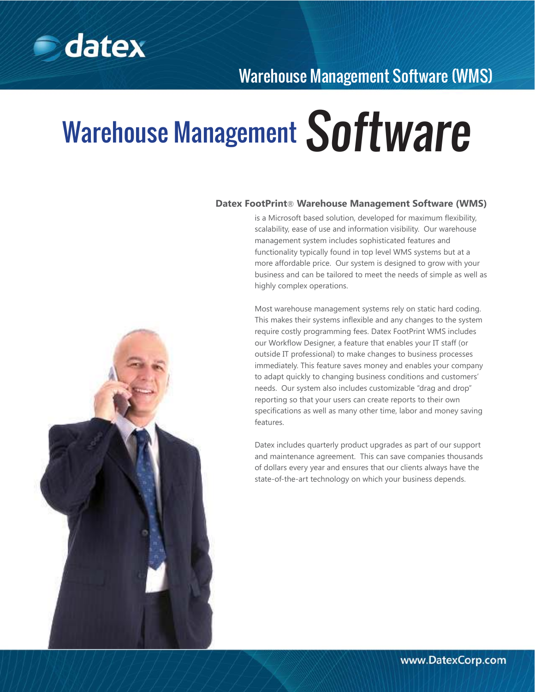

# Warehouse Management Software

#### **Datex FootPrint**® **Warehouse Management Software (WMS)**

is a Microsoft based solution, developed for maximum flexibility, scalability, ease of use and information visibility. Our warehouse management system includes sophisticated features and functionality typically found in top level WMS systems but at a more affordable price. Our system is designed to grow with your business and can be tailored to meet the needs of simple as well as highly complex operations.

Most warehouse management systems rely on static hard coding. This makes their systems inflexible and any changes to the system require costly programming fees. Datex FootPrint WMS includes our Workflow Designer, a feature that enables your IT staff (or outside IT professional) to make changes to business processes immediately. This feature saves money and enables your company to adapt quickly to changing business conditions and customers' needs. Our system also includes customizable "drag and drop" reporting so that your users can create reports to their own specifications as well as many other time, labor and money saving features.

Datex includes quarterly product upgrades as part of our support and maintenance agreement. This can save companies thousands of dollars every year and ensures that our clients always have the state-of-the-art technology on which your business depends.

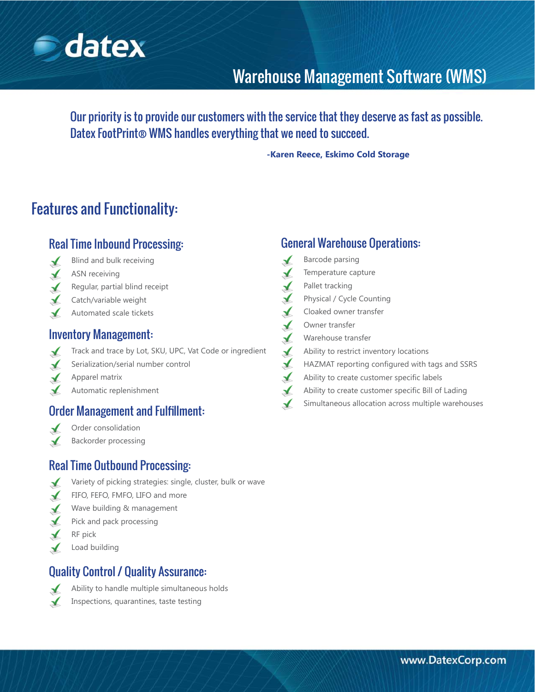

Our priority is to provide our customers with the service that they deserve as fast as possible. Datex FootPrint® WMS handles everything that we need to succeed.

**-Karen Reece, Eskimo Cold Storage**

### Features and Functionality:

#### Real Time Inbound Processing:

- Blind and bulk receiving  $\checkmark$
- $\blacktriangle$ ASN receiving
- $\checkmark$ Regular, partial blind receipt
- Catch/variable weight
- Automated scale tickets  $\checkmark$

#### Inventory Management:

- $\checkmark$ Track and trace by Lot, SKU, UPC, Vat Code or ingredient
- Serialization/serial number control  $\blacktriangleleft$
- $\checkmark$ Apparel matrix
- $\blacktriangle$ Automatic replenishment

#### Order Management and Fulfillment:

- Order consolidation  $\checkmark$
- $\blacktriangle$ Backorder processing

#### Real Time Outbound Processing:

- $\checkmark$ Variety of picking strategies: single, cluster, bulk or wave
- $\blacktriangle$ FIFO, FEFO, FMFO, LIFO and more
- Wave building & management  $\blacktriangle$
- $\checkmark$ Pick and pack processing
- $\checkmark$ RF pick
- $\blacktriangleleft$ Load building

#### Quality Control / Quality Assurance:

- $\checkmark$  $\blacktriangle$
- Ability to handle multiple simultaneous holds
- Inspections, quarantines, taste testing

#### General Warehouse Operations:

- Barcode parsing
- Temperature capture
- Pallet tracking
- Physical / Cycle Counting
- Cloaked owner transfer
- Owner transfer
- Warehouse transfer
- Ability to restrict inventory locations  $\sqrt{ }$
- $\sqrt{ }$ HAZMAT reporting configured with tags and SSRS
- $\mathbf{r}$ Ability to create customer specific labels
- $\checkmark$ Ability to create customer specific Bill of Lading
	- Simultaneous allocation across multiple warehouses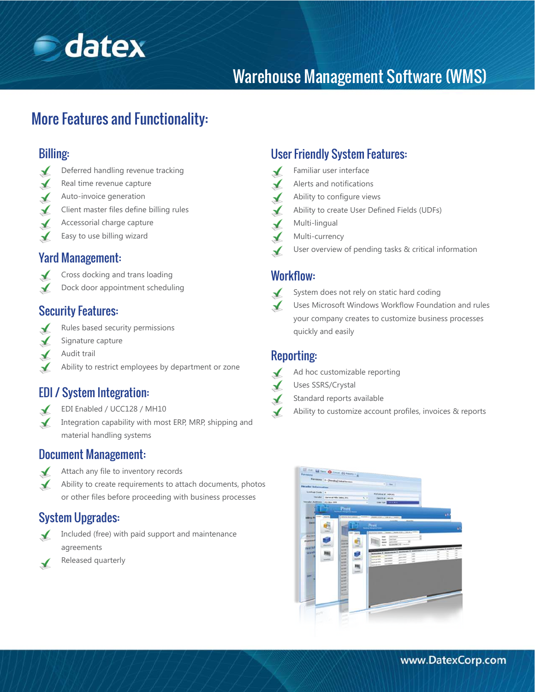

## More Features and Functionality:

#### Billing:

- Deferred handling revenue tracking
- Real time revenue capture
- Auto-invoice generation √
- Client master files define billing rules
- Accessorial charge capture
- Easy to use billing wizard

#### Yard Management:

- $\checkmark$ Cross docking and trans loading
- Dock door appointment scheduling

#### Security Features:

- Rules based security permissions
- Signature capture
- Audit trail
- Ability to restrict employees by department or zone

#### EDI / System Integration:

- $\checkmark$ EDI Enabled / UCC128 / MH10
- Integration capability with most ERP, MRP, shipping and  $\blacktriangle$ material handling systems

#### Document Management:

- Attach any file to inventory records  $\mathbf{r}$
- Ability to create requirements to attach documents, photos  $\sqrt{ }$ or other files before proceeding with business processes

#### System Upgrades:

- Included (free) with paid support and maintenance  $\checkmark$ agreements
- Released quarterly  $\blacktriangle$

#### User Friendly System Features:

- Familiar user interface
- Alerts and notifications
- Ability to configure views
- Ability to create User Defined Fields (UDFs)
- Multi-lingual
- Multi-currency
- User overview of pending tasks & critical information ✓

#### Workflow:

- System does not rely on static hard coding  $\checkmark$ 
	- Uses Microsoft Windows Workflow Foundation and rules your company creates to customize business processes quickly and easily

#### Reporting:

- Ad hoc customizable reporting  $\checkmark$
- $\checkmark$ Uses SSRS/Crystal
- Standard reports available  $\checkmark$
- Ability to customize account profiles, invoices & reports